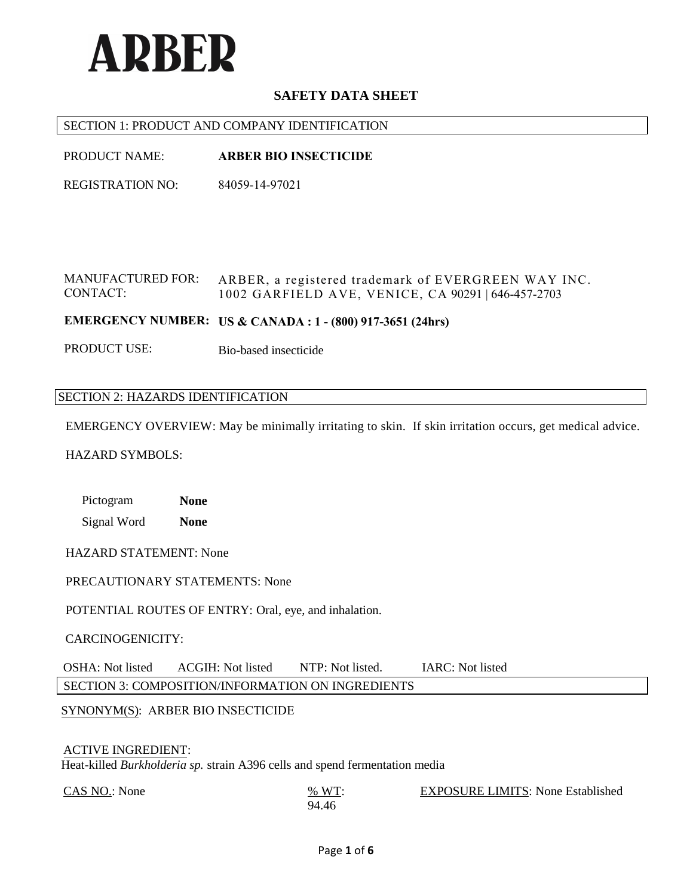

### SECTION 1: PRODUCT AND COMPANY IDENTIFICATION

PRODUCT NAME: **ARBER BIO INSECTICIDE**

REGISTRATION NO: 84059-14-97021

MANUFACTURED FOR: CONTACT: ARBER, a registered trademark of EVERGREEN WAY INC. 1002 GARFIELD AVE, VENICE, CA 90291 | 646-457-2703

**EMERGENCY NUMBER: US & CANADA : 1 - (800) 917-3651 (24hrs)**

PRODUCT USE: Bio-based insecticide

#### SECTION 2: HAZARDS IDENTIFICATION

EMERGENCY OVERVIEW: May be minimally irritating to skin. If skin irritation occurs, get medical advice.

### HAZARD SYMBOLS:

Pictogram **None** Signal Word **None**

HAZARD STATEMENT: None

PRECAUTIONARY STATEMENTS: None

POTENTIAL ROUTES OF ENTRY: Oral, eye, and inhalation.

CARCINOGENICITY:

OSHA: Not listed ACGIH: Not listed NTP: Not listed. IARC: Not listed SECTION 3: COMPOSITION/INFORMATION ON INGREDIENTS

SYNONYM(S): ARBER BIO INSECTICIDE

#### ACTIVE INGREDIENT:

Heat-killed *Burkholderia sp.* strain A396 cells and spend fermentation media

 $\frac{\text{CAS NO.}}{\text{W T}}$ : None

EXPOSURE LIMITS: None Established

94.46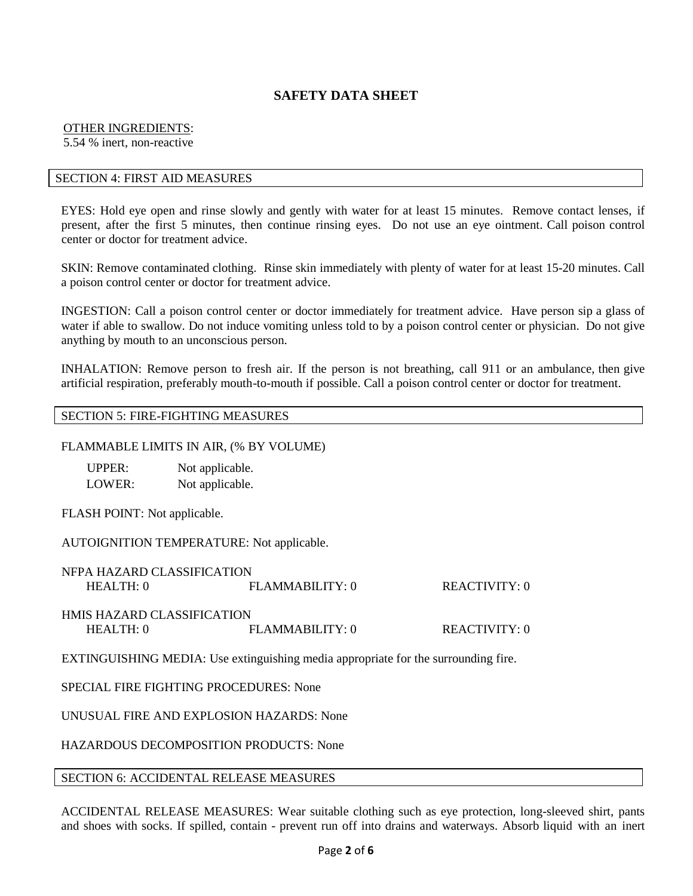# OTHER INGREDIENTS:

5.54 % inert, non-reactive

## SECTION 4: FIRST AID MEASURES

EYES: Hold eye open and rinse slowly and gently with water for at least 15 minutes. Remove contact lenses, if present, after the first 5 minutes, then continue rinsing eyes. Do not use an eye ointment. Call poison control center or doctor for treatment advice.

SKIN: Remove contaminated clothing. Rinse skin immediately with plenty of water for at least 15-20 minutes. Call a poison control center or doctor for treatment advice.

INGESTION: Call a poison control center or doctor immediately for treatment advice. Have person sip a glass of water if able to swallow. Do not induce vomiting unless told to by a poison control center or physician. Do not give anything by mouth to an unconscious person.

INHALATION: Remove person to fresh air. If the person is not breathing, call 911 or an ambulance, then give artificial respiration, preferably mouth-to-mouth if possible. Call a poison control center or doctor for treatment.

### SECTION 5: FIRE-FIGHTING MEASURES

### FLAMMABLE LIMITS IN AIR, (% BY VOLUME)

| UPPER: | Not applicable. |
|--------|-----------------|
| LOWER: | Not applicable. |

FLASH POINT: Not applicable.

AUTOIGNITION TEMPERATURE: Not applicable.

| NFPA HAZARD CLASSIFICATION        |                    |               |
|-----------------------------------|--------------------|---------------|
| HEAITH:0                          | $FI$ AMMARILITY: 0 | REACTIVITY: 0 |
|                                   |                    |               |
| <b>HMIS HAZARD CLASSIFICATION</b> |                    |               |
| HEAITH:0                          | FI.AMMABILITY: 0   | REACTIVITY: 0 |
|                                   |                    |               |

EXTINGUISHING MEDIA: Use extinguishing media appropriate for the surrounding fire.

## SPECIAL FIRE FIGHTING PROCEDURES: None

UNUSUAL FIRE AND EXPLOSION HAZARDS: None

HAZARDOUS DECOMPOSITION PRODUCTS: None

#### SECTION 6: ACCIDENTAL RELEASE MEASURES

ACCIDENTAL RELEASE MEASURES: Wear suitable clothing such as eye protection, long-sleeved shirt, pants and shoes with socks. If spilled, contain - prevent run off into drains and waterways. Absorb liquid with an inert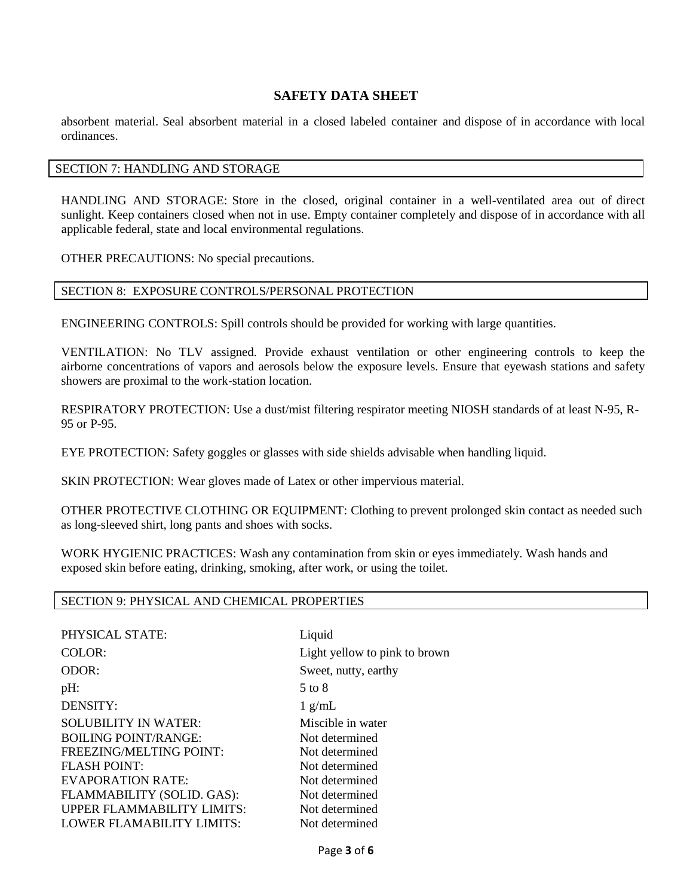absorbent material. Seal absorbent material in a closed labeled container and dispose of in accordance with local ordinances.

### SECTION 7: HANDLING AND STORAGE

HANDLING AND STORAGE: Store in the closed, original container in a well-ventilated area out of direct sunlight. Keep containers closed when not in use. Empty container completely and dispose of in accordance with all applicable federal, state and local environmental regulations.

OTHER PRECAUTIONS: No special precautions.

#### SECTION 8: EXPOSURE CONTROLS/PERSONAL PROTECTION

ENGINEERING CONTROLS: Spill controls should be provided for working with large quantities.

VENTILATION: No TLV assigned. Provide exhaust ventilation or other engineering controls to keep the airborne concentrations of vapors and aerosols below the exposure levels. Ensure that eyewash stations and safety showers are proximal to the work-station location.

RESPIRATORY PROTECTION: Use a dust/mist filtering respirator meeting NIOSH standards of at least N-95, R-95 or P-95.

EYE PROTECTION: Safety goggles or glasses with side shields advisable when handling liquid.

SKIN PROTECTION: Wear gloves made of Latex or other impervious material.

OTHER PROTECTIVE CLOTHING OR EQUIPMENT: Clothing to prevent prolonged skin contact as needed such as long-sleeved shirt, long pants and shoes with socks.

WORK HYGIENIC PRACTICES: Wash any contamination from skin or eyes immediately. Wash hands and exposed skin before eating, drinking, smoking, after work, or using the toilet.

#### SECTION 9: PHYSICAL AND CHEMICAL PROPERTIES

PHYSICAL STATE: Liquid COLOR: Light yellow to pink to brown ODOR: Sweet, nutty, earthy  $pH:$  5 to 8 DENSITY: 1 g/mL SOLUBILITY IN WATER: Miscible in water BOILING POINT/RANGE: Not determined FREEZING/MELTING POINT: Not determined FLASH POINT: Not determined EVAPORATION RATE: Not determined FLAMMABILITY (SOLID. GAS): Not determined UPPER FLAMMABILITY LIMITS: Not determined<br>LOWER FLAMABILITY LIMITS: Not determined LOWER FLAMABILITY LIMITS: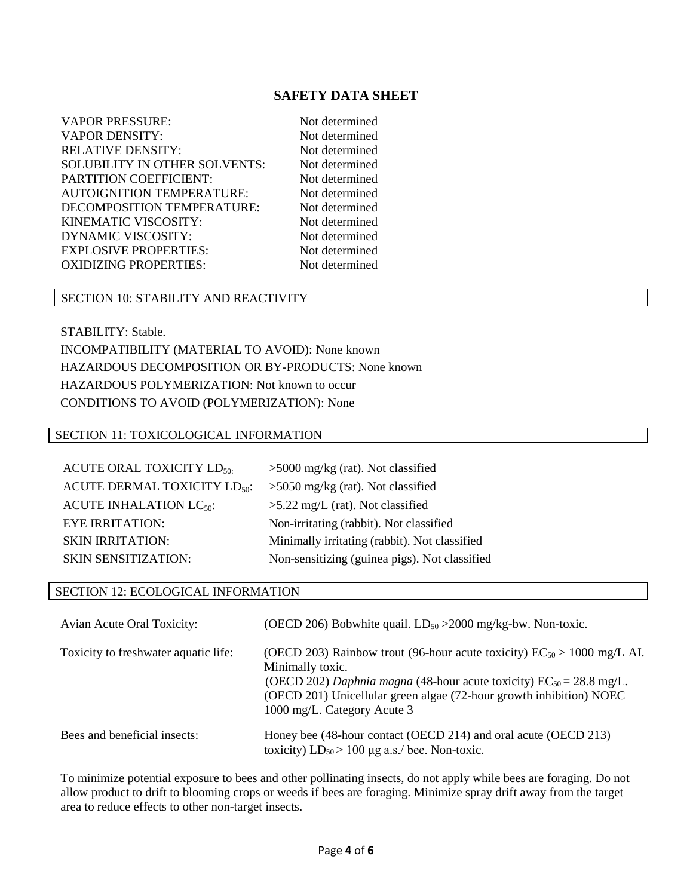VAPOR PRESSURE: Not determined VAPOR DENSITY: Not determined RELATIVE DENSITY: Not determined SOLUBILITY IN OTHER SOLVENTS: Not determined PARTITION COEFFICIENT:<br>AUTOIGNITION TEMPERATURE: Not determined AUTOIGNITION TEMPERATURE: DECOMPOSITION TEMPERATURE: Not determined KINEMATIC VISCOSITY: Not determined DYNAMIC VISCOSITY: Not determined EXPLOSIVE PROPERTIES: Not determined OXIDIZING PROPERTIES: Not determined

## SECTION 10: STABILITY AND REACTIVITY

STABILITY: Stable.

INCOMPATIBILITY (MATERIAL TO AVOID): None known HAZARDOUS DECOMPOSITION OR BY-PRODUCTS: None known HAZARDOUS POLYMERIZATION: Not known to occur CONDITIONS TO AVOID (POLYMERIZATION): None

### SECTION 11: TOXICOLOGICAL INFORMATION

| <b>ACUTE ORAL TOXICITY LD<sub>50</sub></b> | $>5000$ mg/kg (rat). Not classified           |
|--------------------------------------------|-----------------------------------------------|
| ACUTE DERMAL TOXICITY LD <sub>50</sub> :   | $>5050$ mg/kg (rat). Not classified           |
| ACUTE INHALATION $LC_{50}$ :               | $>5.22$ mg/L (rat). Not classified            |
| <b>EYE IRRITATION:</b>                     | Non-irritating (rabbit). Not classified       |
| <b>SKIN IRRITATION:</b>                    | Minimally irritating (rabbit). Not classified |
| <b>SKIN SENSITIZATION:</b>                 | Non-sensitizing (guinea pigs). Not classified |

### SECTION 12: ECOLOGICAL INFORMATION

| Avian Acute Oral Toxicity:           | (OECD 206) Bobwhite quail. $LD_{50} > 2000$ mg/kg-bw. Non-toxic.                                                                                                                                                                                                                  |
|--------------------------------------|-----------------------------------------------------------------------------------------------------------------------------------------------------------------------------------------------------------------------------------------------------------------------------------|
| Toxicity to freshwater aquatic life: | (OECD 203) Rainbow trout (96-hour acute toxicity) $EC_{50} > 1000$ mg/L AI.<br>Minimally toxic.<br>(OECD 202) Daphnia magna (48-hour acute toxicity) $EC_{50} = 28.8$ mg/L.<br>(OECD 201) Unicellular green algae (72-hour growth inhibition) NOEC<br>1000 mg/L. Category Acute 3 |
| Bees and beneficial insects:         | Honey bee (48-hour contact (OECD 214) and oral acute (OECD 213)<br>toxicity) $LD_{50}$ > 100 µg a.s./ bee. Non-toxic.                                                                                                                                                             |

To minimize potential exposure to bees and other pollinating insects, do not apply while bees are foraging. Do not allow product to drift to blooming crops or weeds if bees are foraging. Minimize spray drift away from the target area to reduce effects to other non-target insects.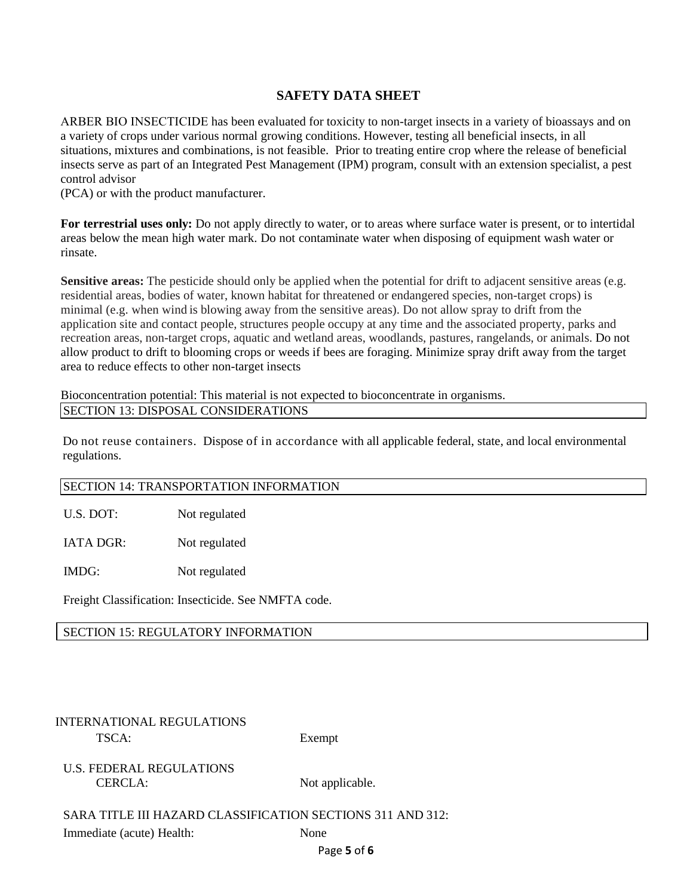ARBER BIO INSECTICIDE has been evaluated for toxicity to non-target insects in a variety of bioassays and on a variety of crops under various normal growing conditions. However, testing all beneficial insects, in all situations, mixtures and combinations, is not feasible. Prior to treating entire crop where the release of beneficial insects serve as part of an Integrated Pest Management (IPM) program, consult with an extension specialist, a pest control advisor

(PCA) or with the product manufacturer.

**For terrestrial uses only:** Do not apply directly to water, or to areas where surface water is present, or to intertidal areas below the mean high water mark. Do not contaminate water when disposing of equipment wash water or rinsate.

**Sensitive areas:** The pesticide should only be applied when the potential for drift to adjacent sensitive areas (e.g. residential areas, bodies of water, known habitat for threatened or endangered species, non-target crops) is minimal (e.g. when wind is blowing away from the sensitive areas). Do not allow spray to drift from the application site and contact people, structures people occupy at any time and the associated property, parks and recreation areas, non-target crops, aquatic and wetland areas, woodlands, pastures, rangelands, or animals. Do not allow product to drift to blooming crops or weeds if bees are foraging. Minimize spray drift away from the target area to reduce effects to other non-target insects

Bioconcentration potential: This material is not expected to bioconcentrate in organisms. SECTION 13: DISPOSAL CONSIDERATIONS

Do not reuse containers. Dispose of in accordance with all applicable federal, state, and local environmental regulations.

## SECTION 14: TRANSPORTATION INFORMATION

U.S. DOT: Not regulated

IATA DGR: Not regulated

IMDG: Not regulated

Freight Classification: Insecticide. See NMFTA code.

SECTION 15: REGULATORY INFORMATION

# INTERNATIONAL REGULATIONS TSCA: Exempt

U.S. FEDERAL REGULATIONS CERCLA: Not applicable.

SARA TITLE III HAZARD CLASSIFICATION SECTIONS 311 AND 312:

Immediate (acute) Health: None

Page **5** of **6**